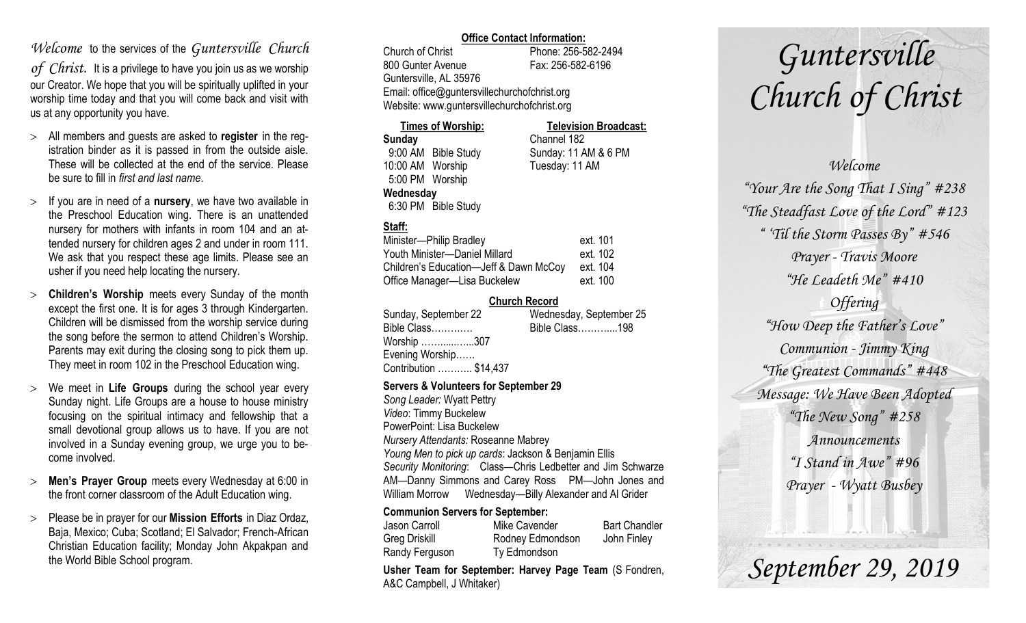# *Welcome* to the services of the *Guntersville Church*

*of Christ*. It is a privilege to have you join us as we worship our Creator. We hope that you will be spiritually uplifted in your worship time today and that you will come back and visit with us at any opportunity you have.

- All members and guests are asked to **register** in the registration binder as it is passed in from the outside aisle. These will be collected at the end of the service. Please be sure to fill in *first and last name*.
- $>$  If you are in need of a **nursery**, we have two available in the Preschool Education wing. There is an unattended nursery for mothers with infants in room 104 and an attended nursery for children ages 2 and under in room 111. We ask that you respect these age limits. Please see an usher if you need help locating the nursery.
- **Children's Worship** meets every Sunday of the month except the first one. It is for ages 3 through Kindergarten. Children will be dismissed from the worship service during the song before the sermon to attend Children's Worship. Parents may exit during the closing song to pick them up. They meet in room 102 in the Preschool Education wing.
- We meet in **Life Groups** during the school year every Sunday night. Life Groups are a house to house ministry focusing on the spiritual intimacy and fellowship that a small devotional group allows us to have. If you are not involved in a Sunday evening group, we urge you to become involved.
- **Men's Prayer Group** meets every Wednesday at 6:00 in the front corner classroom of the Adult Education wing.
- Please be in prayer for our **Mission Efforts** in Diaz Ordaz, Baja, Mexico; Cuba; Scotland; El Salvador; French-African Christian Education facility; Monday John Akpakpan and the World Bible School program.

#### **Office Contact Information:**

Church of Christ Phone: 256-582-2494 800 Gunter Avenue Fax: 256-582-6196 Guntersville, AL 35976 Email: office@guntersvillechurchofchrist.org Website: www.guntersvillechurchofchrist.org

| <b>Times of Worship:</b> |                     | <b>Television Broadcast:</b> |  |
|--------------------------|---------------------|------------------------------|--|
| Sunday                   |                     | Channel 182                  |  |
|                          | 9:00 AM Bible Study | Sunday: 11 AM & 6 PM         |  |
| 10:00 AM Worship         |                     | Tuesday: 11 AM               |  |
| 5:00 PM Worship          |                     |                              |  |
| Wednesday                |                     |                              |  |
|                          | 6:30 PM Bible Study |                              |  |

# **Staff:**

| Minister-Philip Bradley                | ext. 101 |
|----------------------------------------|----------|
| Youth Minister-Daniel Millard          | ext. 102 |
| Children's Education-Jeff & Dawn McCoy | ext. 104 |
| Office Manager—Lisa Buckelew           | ext. 100 |

### **Church Record**

| Sunday, September 22   | Wednesday, September 25 |  |
|------------------------|-------------------------|--|
| Bible Class            | Bible Class198          |  |
| Worship 307            |                         |  |
| Evening Worship        |                         |  |
| Contribution  \$14,437 |                         |  |
|                        |                         |  |

#### **Servers & Volunteers for September 29**

*Song Leader:* Wyatt Pettry *Video*: Timmy Buckelew PowerPoint: Lisa Buckelew *Nursery Attendants:* Roseanne Mabrey *Young Men to pick up cards*: Jackson & Benjamin Ellis *Security Monitoring*: Class—Chris Ledbetter and Jim Schwarze AM—Danny Simmons and Carey Ross PM—John Jones and William Morrow Wednesday—Billy Alexander and Al Grider

#### **Communion Servers for September:**

| Jason Carroll  | Mike Cavender    | <b>Bart Chandler</b> |
|----------------|------------------|----------------------|
| Greg Driskill  | Rodney Edmondson | John Finley          |
| Randy Ferguson | Ty Edmondson     |                      |

**Usher Team for September: Harvey Page Team** (S Fondren, A&C Campbell, J Whitaker)

# *Guntersville Church of Christ*

# *Welcome*

*"Your Are the Song That I Sing" #238 "The Steadfast Love of the Lord" #123 " 'Til the Storm Passes By" #546 Prayer - Travis Moore "He Leadeth Me" #410 Offering "How Deep the Father's Love" Communion - Jimmy King "The Greatest Commands" #448 Message: We Have Been Adopted "The New Song" #258 Announcements "I Stand in Awe" #96 Prayer - Wyatt Busbey*

*September 29, 2019*